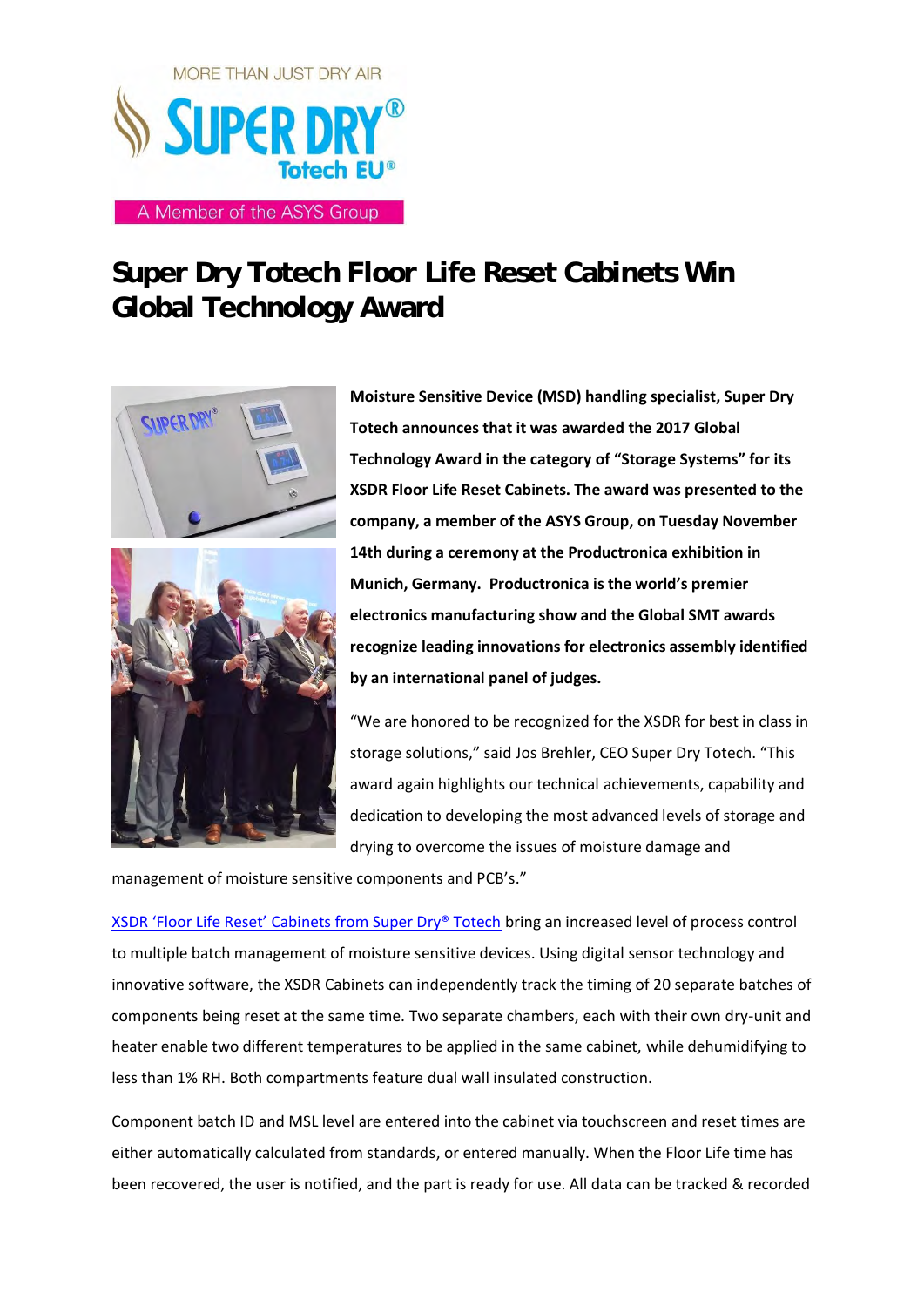

## **Super Dry Totech Floor Life Reset Cabinets Win Global Technology Award**



**Moisture Sensitive Device (MSD) handling specialist, Super Dry Totech announces that it was awarded the 2017 Global Technology Award in the category of "Storage Systems" for its XSDR Floor Life Reset Cabinets. The award was presented to the company, a member of the ASYS Group, on Tuesday November 14th during a ceremony at the Productronica exhibition in Munich, Germany. Productronica is the world's premier electronics manufacturing show and the Global SMT awards recognize leading innovations for electronics assembly identified by an international panel of judges.**

"We are honored to be recognized for the XSDR for best in class in storage solutions," said Jos Brehler, CEO Super Dry Totech. "This award again highlights our technical achievements, capability and dedication to developing the most advanced levels of storage and drying to overcome the issues of moisture damage and

management of moisture sensitive components and PCB's."

[XSDR 'Floor Life Reset' Cabinets](http://www.superdry-totech.com/xsdr-series-reset-cabinets/) from Super Dry® Totech bring an increased level of process control to multiple batch management of moisture sensitive devices. Using digital sensor technology and innovative software, the XSDR Cabinets can independently track the timing of 20 separate batches of components being reset at the same time. Two separate chambers, each with their own dry-unit and heater enable two different temperatures to be applied in the same cabinet, while dehumidifying to less than 1% RH. Both compartments feature dual wall insulated construction.

Component batch ID and MSL level are entered into the cabinet via touchscreen and reset times are either automatically calculated from standards, or entered manually. When the Floor Life time has been recovered, the user is notified, and the part is ready for use. All data can be tracked & recorded